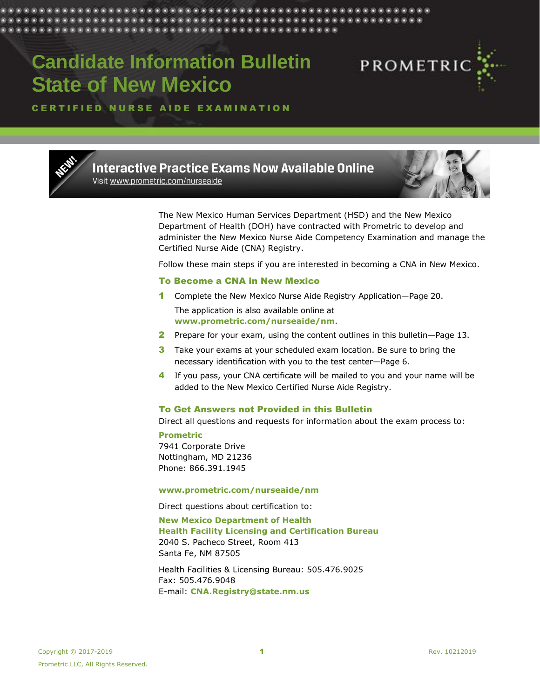# **Candidate Information Bulletin State of New Mexico**



CERTIFIED NURSE AIDE EXAMINATION



**Interactive Practice Exams Now Available Online** Visit www.prometric.com/nurseaide



The New Mexico Human Services Department (HSD) and the New Mexico Department of Health (DOH) have contracted with Prometric to develop and administer the New Mexico Nurse Aide Competency Examination and manage the Certified Nurse Aide (CNA) Registry.

Follow these main steps if you are interested in becoming a CNA in New Mexico.

## To Become a CNA in New Mexico

- 1 Complete the New Mexico Nurse Aide Registry Application-Page 20. The application is also available online at **[www.prometric.com/nurseaide/nm](http://www.prometric.com/nurseaide/nm)**.
- 2 Prepare for your exam, using the content outlines in this bulletin-Page 13.
- 3 Take your exams at your scheduled exam location. Be sure to bring the necessary identification with you to the test center—Page 6.
- 4 If you pass, your CNA certificate will be mailed to you and your name will be added to the New Mexico Certified Nurse Aide Registry.

## To Get Answers not Provided in this Bulletin

Direct all questions and requests for information about the exam process to:

**Prometric** 7941 Corporate Drive Nottingham, MD 21236 Phone: 866.391.1945

#### **[www.prometric.com/nurseaide/nm](http://www.prometric.com/nurseaide/nm)**

Direct questions about certification to: **New Mexico Department of Health Health Facility Licensing and Certification Bureau** 2040 S. Pacheco Street, Room 413 Santa Fe, NM 87505

Health Facilities & Licensing Bureau: 505.476.9025 Fax: 505.476.9048 E-mail: **[CNA.Registry@state.nm.us](mailto:CNA.Registry@state.nm.us)**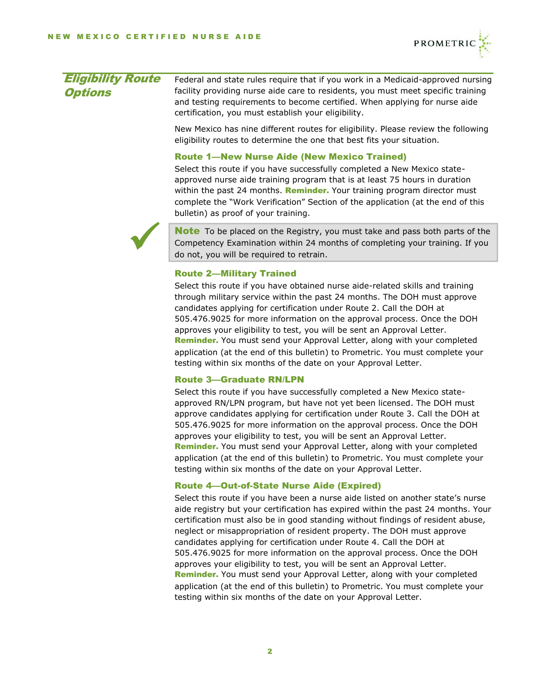

| <b>Eligibility Route</b> | Federal and state rules require that if you work in a Medicaid-approved nursing  |
|--------------------------|----------------------------------------------------------------------------------|
| <b>Options</b>           | facility providing nurse aide care to residents, you must meet specific training |
|                          | and testing requirements to become certified. When applying for nurse aide       |
|                          | certification, you must establish your eligibility.                              |

New Mexico has nine different routes for eligibility. Please review the following eligibility routes to determine the one that best fits your situation.

## Route 1—New Nurse Aide (New Mexico Trained)

Select this route if you have successfully completed a New Mexico stateapproved nurse aide training program that is at least 75 hours in duration within the past 24 months. Reminder. Your training program director must complete the "Work Verification" Section of the application (at the end of this bulletin) as proof of your training.



**Note** To be placed on the Registry, you must take and pass both parts of the Competency Examination within 24 months of completing your training. If you do not, you will be required to retrain.

#### Route 2—Military Trained

Select this route if you have obtained nurse aide-related skills and training through military service within the past 24 months. The DOH must approve candidates applying for certification under Route 2. Call the DOH at 505.476.9025 for more information on the approval process. Once the DOH approves your eligibility to test, you will be sent an Approval Letter. Reminder. You must send your Approval Letter, along with your completed application (at the end of this bulletin) to Prometric. You must complete your testing within six months of the date on your Approval Letter.

## Route 3—Graduate RN/LPN

Select this route if you have successfully completed a New Mexico stateapproved RN/LPN program, but have not yet been licensed. The DOH must approve candidates applying for certification under Route 3. Call the DOH at 505.476.9025 for more information on the approval process. Once the DOH approves your eligibility to test, you will be sent an Approval Letter. Reminder. You must send your Approval Letter, along with your completed application (at the end of this bulletin) to Prometric. You must complete your testing within six months of the date on your Approval Letter.

## Route 4—Out-of-State Nurse Aide (Expired)

Select this route if you have been a nurse aide listed on another state's nurse aide registry but your certification has expired within the past 24 months. Your certification must also be in good standing without findings of resident abuse, neglect or misappropriation of resident property. The DOH must approve candidates applying for certification under Route 4. Call the DOH at 505.476.9025 for more information on the approval process. Once the DOH approves your eligibility to test, you will be sent an Approval Letter. Reminder. You must send your Approval Letter, along with your completed application (at the end of this bulletin) to Prometric. You must complete your testing within six months of the date on your Approval Letter.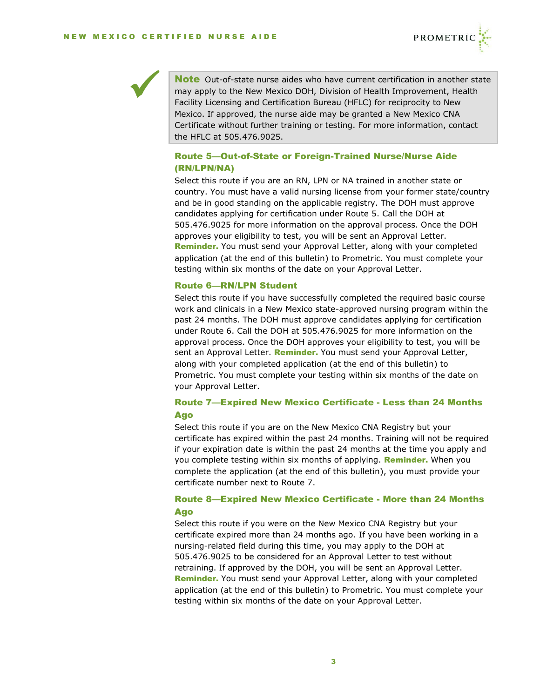



Note Out-of-state nurse aides who have current certification in another state may apply to the New Mexico DOH, Division of Health Improvement, Health Facility Licensing and Certification Bureau (HFLC) for reciprocity to New Mexico. If approved, the nurse aide may be granted a New Mexico CNA Certificate without further training or testing. For more information, contact the HFLC at 505.476.9025.

## Route 5—Out-of-State or Foreign-Trained Nurse/Nurse Aide (RN/LPN/NA)

Select this route if you are an RN, LPN or NA trained in another state or country. You must have a valid nursing license from your former state/country and be in good standing on the applicable registry. The DOH must approve candidates applying for certification under Route 5. Call the DOH at 505.476.9025 for more information on the approval process. Once the DOH approves your eligibility to test, you will be sent an Approval Letter. Reminder. You must send your Approval Letter, along with your completed application (at the end of this bulletin) to Prometric. You must complete your testing within six months of the date on your Approval Letter.

#### Route 6—RN/LPN Student

Select this route if you have successfully completed the required basic course work and clinicals in a New Mexico state-approved nursing program within the past 24 months. The DOH must approve candidates applying for certification under Route 6. Call the DOH at 505.476.9025 for more information on the approval process. Once the DOH approves your eligibility to test, you will be sent an Approval Letter. Reminder. You must send your Approval Letter, along with your completed application (at the end of this bulletin) to Prometric. You must complete your testing within six months of the date on your Approval Letter.

## Route 7—Expired New Mexico Certificate - Less than 24 Months Ago

Select this route if you are on the New Mexico CNA Registry but your certificate has expired within the past 24 months. Training will not be required if your expiration date is within the past 24 months at the time you apply and you complete testing within six months of applying. Reminder. When you complete the application (at the end of this bulletin), you must provide your certificate number next to Route 7.

## Route 8—Expired New Mexico Certificate - More than 24 Months Ago

Select this route if you were on the New Mexico CNA Registry but your certificate expired more than 24 months ago. If you have been working in a nursing-related field during this time, you may apply to the DOH at 505.476.9025 to be considered for an Approval Letter to test without retraining. If approved by the DOH, you will be sent an Approval Letter. Reminder. You must send your Approval Letter, along with your completed application (at the end of this bulletin) to Prometric. You must complete your testing within six months of the date on your Approval Letter.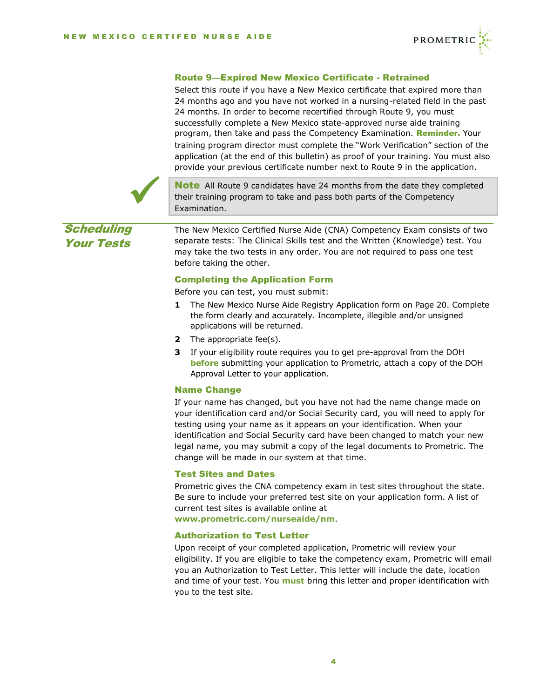

## Route 9—Expired New Mexico Certificate - Retrained

Select this route if you have a New Mexico certificate that expired more than 24 months ago and you have not worked in a nursing-related field in the past 24 months. In order to become recertified through Route 9, you must successfully complete a New Mexico state-approved nurse aide training program, then take and pass the Competency Examination. Reminder. Your training program director must complete the "Work Verification" section of the application (at the end of this bulletin) as proof of your training. You must also provide your previous certificate number next to Route 9 in the application.



**Note** All Route 9 candidates have 24 months from the date they completed their training program to take and pass both parts of the Competency Examination.

**Scheduling** Your Tests

The New Mexico Certified Nurse Aide (CNA) Competency Exam consists of two separate tests: The Clinical Skills test and the Written (Knowledge) test. You may take the two tests in any order. You are not required to pass one test before taking the other.

## Completing the Application Form

Before you can test, you must submit:

- **1** The New Mexico Nurse Aide Registry Application form on Page 20. Complete the form clearly and accurately. Incomplete, illegible and/or unsigned applications will be returned.
- **2** The appropriate fee(s).
- **3** If your eligibility route requires you to get pre-approval from the DOH **before** submitting your application to Prometric, attach a copy of the DOH Approval Letter to your application.

## Name Change

If your name has changed, but you have not had the name change made on your identification card and/or Social Security card, you will need to apply for testing using your name as it appears on your identification. When your identification and Social Security card have been changed to match your new legal name, you may submit a copy of the legal documents to Prometric. The change will be made in our system at that time.

## Test Sites and Dates

Prometric gives the CNA competency exam in test sites throughout the state. Be sure to include your preferred test site on your application form. A list of current test sites is available online at

**[www.prometric.com/nurseaide/nm](http://www.prometric.com/nurseaide/nm)**.

## Authorization to Test Letter

Upon receipt of your completed application, Prometric will review your eligibility. If you are eligible to take the competency exam, Prometric will email you an Authorization to Test Letter. This letter will include the date, location and time of your test. You **must** bring this letter and proper identification with you to the test site.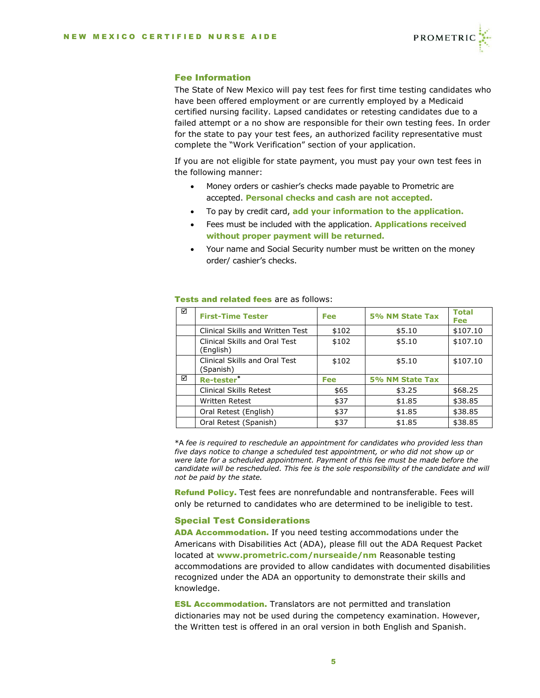

## Fee Information

The State of New Mexico will pay test fees for first time testing candidates who have been offered employment or are currently employed by a Medicaid certified nursing facility. Lapsed candidates or retesting candidates due to a failed attempt or a no show are responsible for their own testing fees. In order for the state to pay your test fees, an authorized facility representative must complete the "Work Verification" section of your application.

If you are not eligible for state payment, you must pay your own test fees in the following manner:

- Money orders or cashier's checks made payable to Prometric are accepted. **Personal checks and cash are not accepted.**
- To pay by credit card, **add your information to the application.**
- Fees must be included with the application. **Applications received without proper payment will be returned.**
- Your name and Social Security number must be written on the money order/ cashier's checks.

| ☑ | <b>First-Time Tester</b>                   | Fee        | 5% NM State Tax | <b>Total</b><br><b>Fee</b> |
|---|--------------------------------------------|------------|-----------------|----------------------------|
|   | Clinical Skills and Written Test           | \$102      | \$5.10          | \$107.10                   |
|   | Clinical Skills and Oral Test<br>(English) | \$102      | \$5.10          | \$107.10                   |
|   | Clinical Skills and Oral Test<br>(Spanish) | \$102      | \$5.10          | \$107.10                   |
| ☑ | Re-tester*                                 | <b>Fee</b> | 5% NM State Tax |                            |
|   | Clinical Skills Retest                     | \$65       | \$3.25          | \$68.25                    |
|   | <b>Written Retest</b>                      | \$37       | \$1.85          | \$38.85                    |
|   | Oral Retest (English)                      | \$37       | \$1.85          | \$38.85                    |
|   | Oral Retest (Spanish)                      | \$37       | \$1.85          | \$38.85                    |

#### Tests and related fees are as follows:

\*A *fee is required to reschedule an appointment for candidates who provided less than five days notice to change a scheduled test appointment, or who did not show up or were late for a scheduled appointment. Payment of this fee must be made before the*  candidate will be rescheduled. This fee is the sole responsibility of the candidate and will *not be paid by the state.*

Refund Policy. Test fees are nonrefundable and nontransferable. Fees will only be returned to candidates who are determined to be ineligible to test.

#### Special Test Considerations

ADA Accommodation. If you need testing accommodations under the Americans with Disabilities Act (ADA), please fill out the ADA Request Packet located at **[www.prometric.com/nurseaide/nm](http://www.prometric.com/nurseaide/nm)** Reasonable testing accommodations are provided to allow candidates with documented disabilities recognized under the ADA an opportunity to demonstrate their skills and knowledge.

**ESL Accommodation.** Translators are not permitted and translation dictionaries may not be used during the competency examination. However, the Written test is offered in an oral version in both English and Spanish.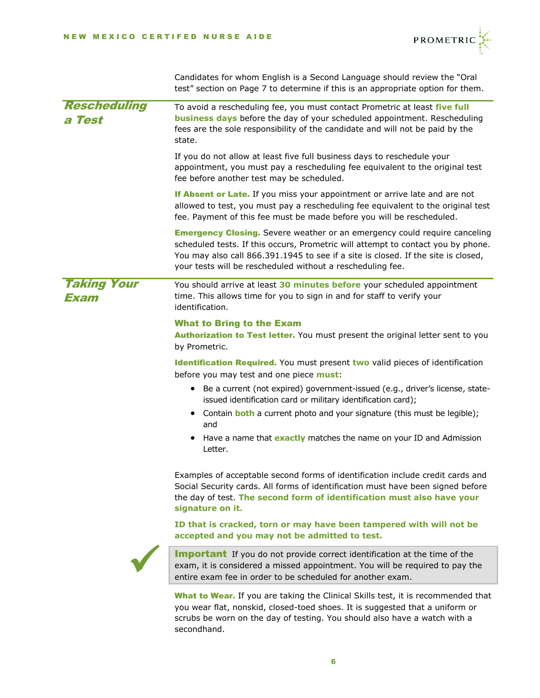

Candidates for whom English is a Second Language should review the "Oral test" section on Page [7](#page-6-0) to determine if this is an appropriate option for them.

| <b>Rescheduling</b><br>a Test | To avoid a rescheduling fee, you must contact Prometric at least five full<br>business days before the day of your scheduled appointment. Rescheduling<br>fees are the sole responsibility of the candidate and will not be paid by the<br>state.                                                                       |  |  |  |
|-------------------------------|-------------------------------------------------------------------------------------------------------------------------------------------------------------------------------------------------------------------------------------------------------------------------------------------------------------------------|--|--|--|
|                               | If you do not allow at least five full business days to reschedule your<br>appointment, you must pay a rescheduling fee equivalent to the original test<br>fee before another test may be scheduled.                                                                                                                    |  |  |  |
|                               | If Absent or Late. If you miss your appointment or arrive late and are not<br>allowed to test, you must pay a rescheduling fee equivalent to the original test<br>fee. Payment of this fee must be made before you will be rescheduled.                                                                                 |  |  |  |
|                               | <b>Emergency Closing.</b> Severe weather or an emergency could require canceling<br>scheduled tests. If this occurs, Prometric will attempt to contact you by phone.<br>You may also call 866.391.1945 to see if a site is closed. If the site is closed,<br>your tests will be rescheduled without a rescheduling fee. |  |  |  |
| <b>Taking Your</b><br>Exam    | You should arrive at least 30 minutes before your scheduled appointment<br>time. This allows time for you to sign in and for staff to verify your<br>identification.                                                                                                                                                    |  |  |  |
|                               | <b>What to Bring to the Exam</b><br>Authorization to Test letter. You must present the original letter sent to you<br>by Prometric.                                                                                                                                                                                     |  |  |  |
|                               | Identification Required. You must present two valid pieces of identification<br>before you may test and one piece must:                                                                                                                                                                                                 |  |  |  |
|                               | Be a current (not expired) government-issued (e.g., driver's license, state-<br>$\bullet$<br>issued identification card or military identification card);                                                                                                                                                               |  |  |  |
|                               | Contain <b>both</b> a current photo and your signature (this must be legible);<br>and                                                                                                                                                                                                                                   |  |  |  |
|                               | Have a name that <b>exactly</b> matches the name on your ID and Admission<br>٠<br>Letter.                                                                                                                                                                                                                               |  |  |  |
|                               | Examples of acceptable second forms of identification include credit cards and<br>Social Security cards. All forms of identification must have been signed before<br>the day of test. The second form of identification must also have your<br>signature on it.                                                         |  |  |  |
|                               | ID that is cracked, torn or may have been tampered with will not be<br>accepted and you may not be admitted to test.                                                                                                                                                                                                    |  |  |  |
|                               | Important If you do not provide correct identification at the time of the<br>exam, it is considered a missed appointment. You will be required to pay the<br>entire exam fee in order to be scheduled for another exam.                                                                                                 |  |  |  |
|                               | What to Wear. If you are taking the Clinical Skills test, it is recommended that                                                                                                                                                                                                                                        |  |  |  |

you wear flat, nonskid, closed-toed shoes. It is suggested that a uniform or scrubs be worn on the day of testing. You should also have a watch with a secondhand.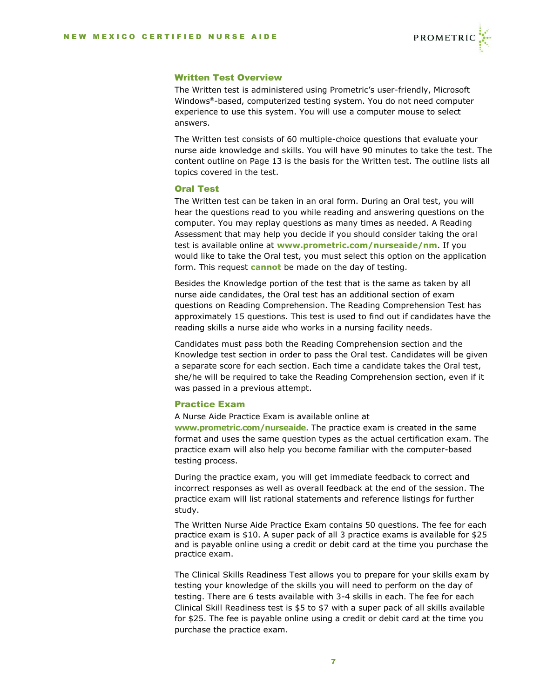

## Written Test Overview

The Written test is administered using Prometric's user-friendly, Microsoft Windows®-based, computerized testing system. You do not need computer experience to use this system. You will use a computer mouse to select answers.

The Written test consists of 60 multiple-choice questions that evaluate your nurse aide knowledge and skills. You will have 90 minutes to take the test. The content outline on Page 13 is the basis for the Written test. The outline lists all topics covered in the test.

## <span id="page-6-0"></span>Oral Test

The Written test can be taken in an oral form. During an Oral test, you will hear the questions read to you while reading and answering questions on the computer. You may replay questions as many times as needed. A Reading Assessment that may help you decide if you should consider taking the oral test is available online at **[www.prometric.com/nurseaide/nm](http://www.prometric.com/nurseaide/nm)**. If you would like to take the Oral test, you must select this option on the application form. This request **cannot** be made on the day of testing.

Besides the Knowledge portion of the test that is the same as taken by all nurse aide candidates, the Oral test has an additional section of exam questions on Reading Comprehension. The Reading Comprehension Test has approximately 15 questions. This test is used to find out if candidates have the reading skills a nurse aide who works in a nursing facility needs.

Candidates must pass both the Reading Comprehension section and the Knowledge test section in order to pass the Oral test. Candidates will be given a separate score for each section. Each time a candidate takes the Oral test, she/he will be required to take the Reading Comprehension section, even if it was passed in a previous attempt.

## Practice Exam

A Nurse Aide Practice Exam is available online at **[www.prometric.com/nurseaide](http://www.prometric.com/nurseaide)**. The practice exam is created in the same

format and uses the same question types as the actual certification exam. The practice exam will also help you become familiar with the computer-based testing process.

During the practice exam, you will get immediate feedback to correct and incorrect responses as well as overall feedback at the end of the session. The practice exam will list rational statements and reference listings for further study.

The Written Nurse Aide Practice Exam contains 50 questions. The fee for each practice exam is \$10. A super pack of all 3 practice exams is available for \$25 and is payable online using a credit or debit card at the time you purchase the practice exam.

The Clinical Skills Readiness Test allows you to prepare for your skills exam by testing your knowledge of the skills you will need to perform on the day of testing. There are 6 tests available with 3-4 skills in each. The fee for each Clinical Skill Readiness test is \$5 to \$7 with a super pack of all skills available for \$25. The fee is payable online using a credit or debit card at the time you purchase the practice exam.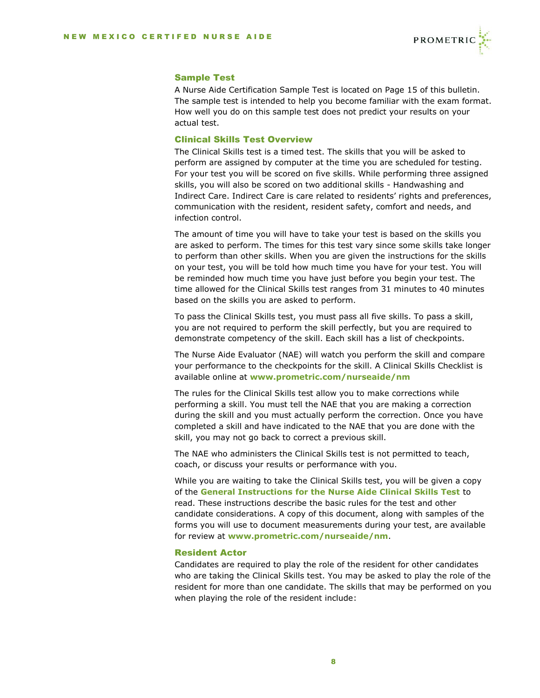

## Sample Test

A Nurse Aide Certification Sample Test is located on Page [15](#page-14-0) of this bulletin. The sample test is intended to help you become familiar with the exam format. How well you do on this sample test does not predict your results on your actual test.

## Clinical Skills Test Overview

The Clinical Skills test is a timed test. The skills that you will be asked to perform are assigned by computer at the time you are scheduled for testing. For your test you will be scored on five skills. While performing three assigned skills, you will also be scored on two additional skills - Handwashing and Indirect Care. Indirect Care is care related to residents' rights and preferences, communication with the resident, resident safety, comfort and needs, and infection control.

The amount of time you will have to take your test is based on the skills you are asked to perform. The times for this test vary since some skills take longer to perform than other skills. When you are given the instructions for the skills on your test, you will be told how much time you have for your test. You will be reminded how much time you have just before you begin your test. The time allowed for the Clinical Skills test ranges from 31 minutes to 40 minutes based on the skills you are asked to perform.

To pass the Clinical Skills test, you must pass all five skills. To pass a skill, you are not required to perform the skill perfectly, but you are required to demonstrate competency of the skill. Each skill has a list of checkpoints.

The Nurse Aide Evaluator (NAE) will watch you perform the skill and compare your performance to the checkpoints for the skill. A Clinical Skills Checklist is available online at **[www.prometric.com/nurseaide/nm](http://www.prometric.com/nurseaide/nm)**

The rules for the Clinical Skills test allow you to make corrections while performing a skill. You must tell the NAE that you are making a correction during the skill and you must actually perform the correction. Once you have completed a skill and have indicated to the NAE that you are done with the skill, you may not go back to correct a previous skill.

The NAE who administers the Clinical Skills test is not permitted to teach, coach, or discuss your results or performance with you.

While you are waiting to take the Clinical Skills test, you will be given a copy of the **General Instructions for the Nurse Aide Clinical Skills Test** to read. These instructions describe the basic rules for the test and other candidate considerations. A copy of this document, along with samples of the forms you will use to document measurements during your test, are available for review at **[www.prometric.com/nurseaide/nm](http://www.prometric.com/nurseaide/nm)**.

#### Resident Actor

Candidates are required to play the role of the resident for other candidates who are taking the Clinical Skills test. You may be asked to play the role of the resident for more than one candidate. The skills that may be performed on you when playing the role of the resident include: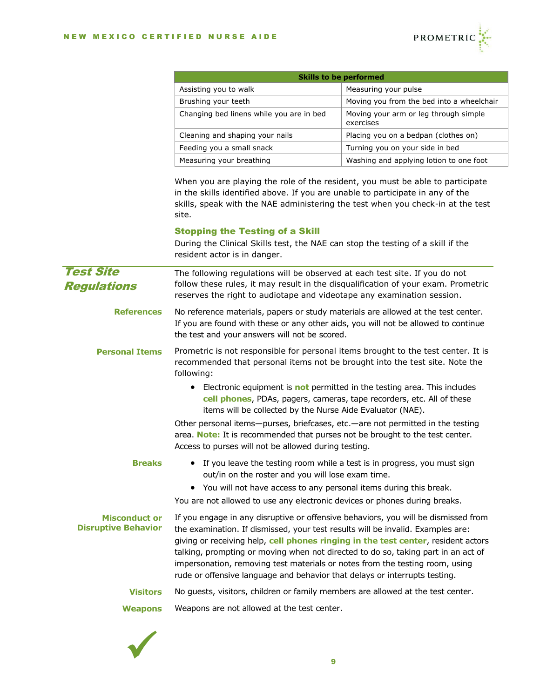

| <b>Skills to be performed</b>            |                                                    |  |  |
|------------------------------------------|----------------------------------------------------|--|--|
| Assisting you to walk                    | Measuring your pulse                               |  |  |
| Brushing your teeth                      | Moving you from the bed into a wheelchair          |  |  |
| Changing bed linens while you are in bed | Moving your arm or leg through simple<br>exercises |  |  |
| Cleaning and shaping your nails          | Placing you on a bedpan (clothes on)               |  |  |
| Feeding you a small snack                | Turning you on your side in bed                    |  |  |
| Measuring your breathing                 | Washing and applying lotion to one foot            |  |  |

When you are playing the role of the resident, you must be able to participate in the skills identified above. If you are unable to participate in any of the skills, speak with the NAE administering the test when you check-in at the test site.

## Stopping the Testing of a Skill

During the Clinical Skills test, the NAE can stop the testing of a skill if the resident actor is in danger. The following regulations will be observed at each test site. If you do not follow these rules, it may result in the disqualification of your exam. Prometric reserves the right to audiotape and videotape any examination session. No reference materials, papers or study materials are allowed at the test center. If you are found with these or any other aids, you will not be allowed to continue the test and your answers will not be scored. Prometric is not responsible for personal items brought to the test center. It is recommended that personal items not be brought into the test site. Note the following: • Electronic equipment is **not** permitted in the testing area. This includes **cell phones**, PDAs, pagers, cameras, tape recorders, etc. All of these items will be collected by the Nurse Aide Evaluator (NAE). Other personal items—purses, briefcases, etc.—are not permitted in the testing area. **Note:** It is recommended that purses not be brought to the test center. Access to purses will not be allowed during testing. • If you leave the testing room while a test is in progress, you must sign out/in on the roster and you will lose exam time. Test Site Regulations **References Personal Items Breaks**

• You will not have access to any personal items during this break.

You are not allowed to use any electronic devices or phones during breaks.

#### If you engage in any disruptive or offensive behaviors, you will be dismissed from the examination. If dismissed, your test results will be invalid. Examples are: giving or receiving help, **cell phones ringing in the test center**, resident actors talking, prompting or moving when not directed to do so, taking part in an act of impersonation, removing test materials or notes from the testing room, using rude or offensive language and behavior that delays or interrupts testing. **Misconduct or Disruptive Behavior**

No guests, visitors, children or family members are allowed at the test center. **Visitors**

Weapons are not allowed at the test center. **Weapons**

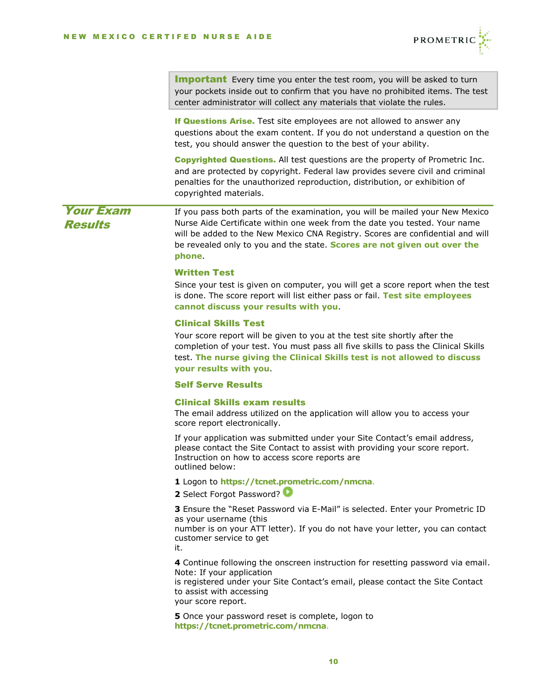

|                                    | <b>Important</b> Every time you enter the test room, you will be asked to turn<br>your pockets inside out to confirm that you have no prohibited items. The test<br>center administrator will collect any materials that violate the rules.                                                                                         |
|------------------------------------|-------------------------------------------------------------------------------------------------------------------------------------------------------------------------------------------------------------------------------------------------------------------------------------------------------------------------------------|
|                                    | If Questions Arise. Test site employees are not allowed to answer any<br>questions about the exam content. If you do not understand a question on the<br>test, you should answer the question to the best of your ability.                                                                                                          |
|                                    | <b>Copyrighted Questions.</b> All test questions are the property of Prometric Inc.<br>and are protected by copyright. Federal law provides severe civil and criminal<br>penalties for the unauthorized reproduction, distribution, or exhibition of<br>copyrighted materials.                                                      |
| <b>Your Exam</b><br><b>Results</b> | If you pass both parts of the examination, you will be mailed your New Mexico<br>Nurse Aide Certificate within one week from the date you tested. Your name<br>will be added to the New Mexico CNA Registry. Scores are confidential and will<br>be revealed only to you and the state. Scores are not given out over the<br>phone. |
|                                    | <b>Written Test</b><br>Since your test is given on computer, you will get a score report when the test<br>is done. The score report will list either pass or fail. Test site employees<br>cannot discuss your results with you.                                                                                                     |
|                                    | <b>Clinical Skills Test</b><br>Your score report will be given to you at the test site shortly after the<br>completion of your test. You must pass all five skills to pass the Clinical Skills<br>test. The nurse giving the Clinical Skills test is not allowed to discuss<br>your results with you.                               |
|                                    | <b>Self Serve Results</b>                                                                                                                                                                                                                                                                                                           |
|                                    | <b>Clinical Skills exam results</b><br>The email address utilized on the application will allow you to access your<br>score report electronically.                                                                                                                                                                                  |
|                                    | If your application was submitted under your Site Contact's email address,<br>please contact the Site Contact to assist with providing your score report.<br>Instruction on how to access score reports are<br>outlined below:                                                                                                      |
|                                    | 1 Logon to https://tcnet.prometric.com/nmcna.<br>2 Select Forgot Password?                                                                                                                                                                                                                                                          |
|                                    | 3 Ensure the "Reset Password via E-Mail" is selected. Enter your Prometric ID<br>as your username (this<br>number is on your ATT letter). If you do not have your letter, you can contact<br>customer service to get<br>it.                                                                                                         |
|                                    | 4 Continue following the onscreen instruction for resetting password via email.<br>Note: If your application<br>is registered under your Site Contact's email, please contact the Site Contact<br>to assist with accessing<br>your score report.                                                                                    |
|                                    | 5 Once your password reset is complete, logon to<br>https://tcnet.prometric.com/nmcna.                                                                                                                                                                                                                                              |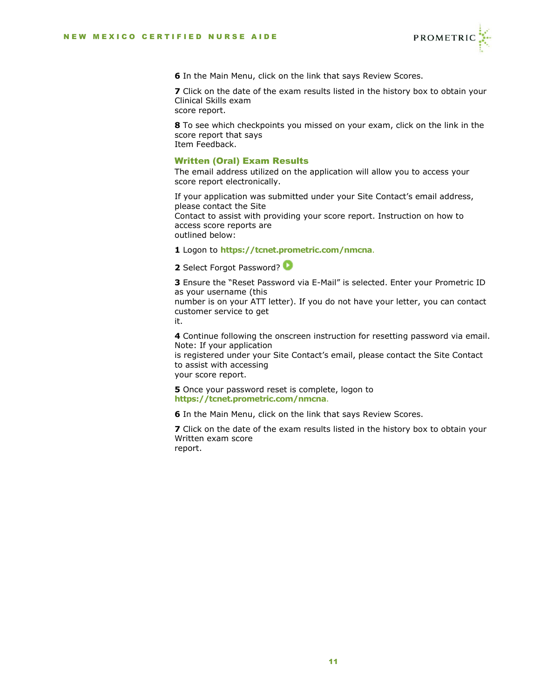

**6** In the Main Menu, click on the link that says Review Scores.

**7** Click on the date of the exam results listed in the history box to obtain your Clinical Skills exam score report.

**8** To see which checkpoints you missed on your exam, click on the link in the score report that says Item Feedback.

## Written (Oral) Exam Results

The email address utilized on the application will allow you to access your score report electronically.

If your application was submitted under your Site Contact's email address, please contact the Site Contact to assist with providing your score report. Instruction on how to access score reports are outlined below:

**1** Logon to **<https://tcnet.prometric.com/nmcna>**.

**2** Select Forgot Password?

**3** Ensure the "Reset Password via E-Mail" is selected. Enter your Prometric ID as your username (this number is on your ATT letter). If you do not have your letter, you can contact

customer service to get

it.

**4** Continue following the onscreen instruction for resetting password via email. Note: If your application

is registered under your Site Contact's email, please contact the Site Contact to assist with accessing

your score report.

**5** Once your password reset is complete, logon to **<https://tcnet.prometric.com/nmcna>**.

**6** In the Main Menu, click on the link that says Review Scores.

**7** Click on the date of the exam results listed in the history box to obtain your Written exam score report.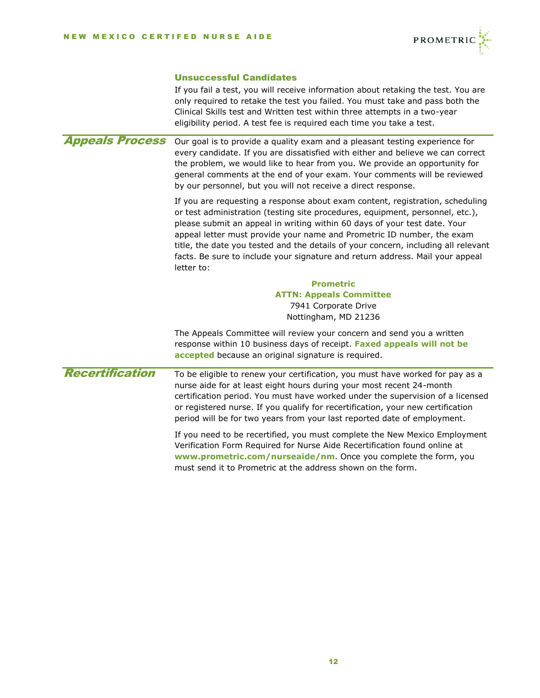

## Unsuccessful Candidates

|                        | If you fail a test, you will receive information about retaking the test. You are<br>only required to retake the test you failed. You must take and pass both the<br>Clinical Skills test and Written test within three attempts in a two-year<br>eligibility period. A test fee is required each time you take a test.                                                                                                                                                                                    |
|------------------------|------------------------------------------------------------------------------------------------------------------------------------------------------------------------------------------------------------------------------------------------------------------------------------------------------------------------------------------------------------------------------------------------------------------------------------------------------------------------------------------------------------|
| <b>Appeals Process</b> | Our goal is to provide a quality exam and a pleasant testing experience for<br>every candidate. If you are dissatisfied with either and believe we can correct<br>the problem, we would like to hear from you. We provide an opportunity for<br>general comments at the end of your exam. Your comments will be reviewed<br>by our personnel, but you will not receive a direct response.                                                                                                                  |
|                        | If you are requesting a response about exam content, registration, scheduling<br>or test administration (testing site procedures, equipment, personnel, etc.),<br>please submit an appeal in writing within 60 days of your test date. Your<br>appeal letter must provide your name and Prometric ID number, the exam<br>title, the date you tested and the details of your concern, including all relevant<br>facts. Be sure to include your signature and return address. Mail your appeal<br>letter to: |
|                        | <b>Prometric</b><br><b>ATTN: Appeals Committee</b><br>7941 Corporate Drive<br>Nottingham, MD 21236                                                                                                                                                                                                                                                                                                                                                                                                         |
|                        | The Appeals Committee will review your concern and send you a written<br>response within 10 business days of receipt. Faxed appeals will not be<br>accepted because an original signature is required.                                                                                                                                                                                                                                                                                                     |
| <b>Recertification</b> | To be eligible to renew your certification, you must have worked for pay as a<br>nurse aide for at least eight hours during your most recent 24-month<br>certification period. You must have worked under the supervision of a licensed<br>or registered nurse. If you qualify for recertification, your new certification<br>period will be for two years from your last reported date of employment.                                                                                                     |
|                        | If you need to be recertified, you must complete the New Mexico Employment<br>Verification Form Required for Nurse Aide Recertification found online at<br>www.prometric.com/nurseaide/nm. Once you complete the form, you<br>must send it to Prometric at the address shown on the form.                                                                                                                                                                                                                  |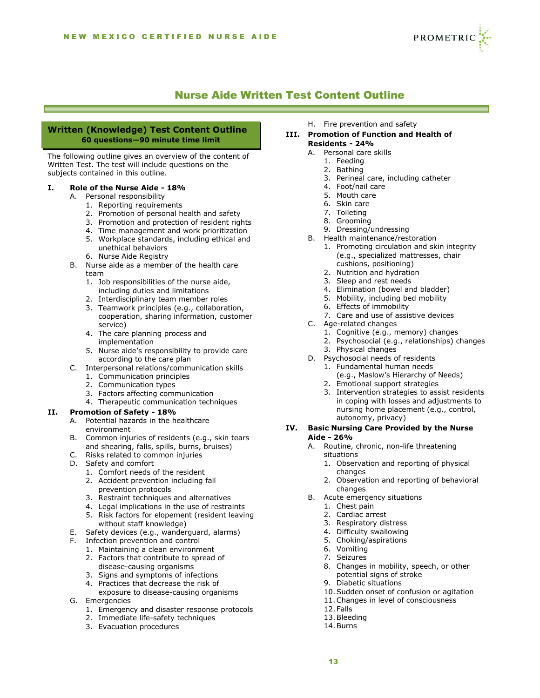

## Nurse Aide Written Test Content Outline

### **Written (Knowledge) Test Content Outline 60 questions—90 minute time limit**

The following outline gives an overview of the content of Written Test. The test will include questions on the subjects contained in this outline.

#### **I. Role of the Nurse Aide - 18%**

- A. Personal responsibility
	- 1. Reporting requirements
	- 2. Promotion of personal health and safety
	- 3. Promotion and protection of resident rights
	- 4. Time management and work prioritization
	- 5. Workplace standards, including ethical and unethical behaviors
	- 6. Nurse Aide Registry
- B. Nurse aide as a member of the health care team
	- 1. Job responsibilities of the nurse aide, including duties and limitations
	- 2. Interdisciplinary team member roles
	- 3. Teamwork principles (e.g., collaboration, cooperation, sharing information, customer service)
	- 4. The care planning process and implementation
	- 5. Nurse aide's responsibility to provide care according to the care plan
- C. Interpersonal relations/communication skills
	- 1. Communication principles
	- 2. Communication types
	- 3. Factors affecting communication
	- 4. Therapeutic communication techniques

#### **II. Promotion of Safety - 18%**

- A. Potential hazards in the healthcare environment
- B. Common injuries of residents (e.g., skin tears and shearing, falls, spills, burns, bruises)
- C. Risks related to common injuries
- D. Safety and comfort
	- 1. Comfort needs of the resident
	- 2. Accident prevention including fall prevention protocols
	- 3. Restraint techniques and alternatives
	- 4. Legal implications in the use of restraints
	- 5. Risk factors for elopement (resident leaving without staff knowledge)
- E. Safety devices (e.g., wanderguard, alarms)
- F. Infection prevention and control
	- 1. Maintaining a clean environment
	- 2. Factors that contribute to spread of disease-causing organisms
	- 3. Signs and symptoms of infections
	- 4. Practices that decrease the risk of
- exposure to disease-causing organisms G. Emergencies
	- 1. Emergency and disaster response protocols
	- 2. Immediate life-safety techniques
	- 3. Evacuation procedures

H. Fire prevention and safety

#### **III. Promotion of Function and Health of Residents - 24%**

- A. Personal care skills
	- 1. Feeding
	- 2. Bathing
	- 3. Perineal care, including catheter
	- 4. Foot/nail care
	- 5. Mouth care
	- 6. Skin care
	- 7. Toileting
	- 8. Grooming
	- 9. Dressing/undressing
- B. Health maintenance/restoration
	- 1. Promoting circulation and skin integrity (e.g., specialized mattresses, chair cushions, positioning)
	- 2. Nutrition and hydration
	- 3. Sleep and rest needs
	- 4. Elimination (bowel and bladder)
	- 5. Mobility, including bed mobility
	- 6. Effects of immobility
	- 7. Care and use of assistive devices
- C. Age-related changes
	- 1. Cognitive (e.g., memory) changes
	- 2. Psychosocial (e.g., relationships) changes
	- 3. Physical changes
- D. Psychosocial needs of residents
	- 1. Fundamental human needs (e.g., Maslow's Hierarchy of Needs)
	- 2. Emotional support strategies
	- 3. Intervention strategies to assist residents
	- in coping with losses and adjustments to nursing home placement (e.g., control, autonomy, privacy)

#### **IV. Basic Nursing Care Provided by the Nurse Aide - 26%**

- A. Routine, chronic, non-life threatening situations
	- 1. Observation and reporting of physical changes
	- 2. Observation and reporting of behavioral changes
- B. Acute emergency situations
	- 1. Chest pain
	- 2. Cardiac arrest
	- 3. Respiratory distress
	- 4. Difficulty swallowing
	- 5. Choking/aspirations
	- 6. Vomiting
	- 7. Seizures
	- 8. Changes in mobility, speech, or other potential signs of stroke
	- 9. Diabetic situations
	- 10.Sudden onset of confusion or agitation
	- 11.Changes in level of consciousness
	- 12.Falls
	- 13.Bleeding
	- 14.Burns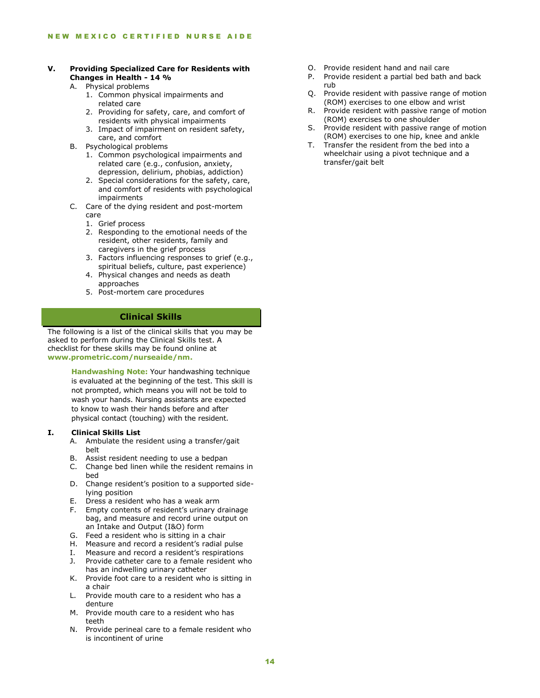## **V. Providing Specialized Care for Residents with Changes in Health - 14 %**

- A. Physical problems
	- 1. Common physical impairments and related care
	- 2. Providing for safety, care, and comfort of residents with physical impairments
	- 3. Impact of impairment on resident safety, care, and comfort
- B. Psychological problems
	- 1. Common psychological impairments and related care (e.g., confusion, anxiety, depression, delirium, phobias, addiction)
	- 2. Special considerations for the safety, care, and comfort of residents with psychological impairments
- C. Care of the dying resident and post-mortem care
	- 1. Grief process
	- 2. Responding to the emotional needs of the resident, other residents, family and caregivers in the grief process
	- 3. Factors influencing responses to grief (e.g., spiritual beliefs, culture, past experience)
	- 4. Physical changes and needs as death approaches
	- 5. Post-mortem care procedures

## **Clinical Skills**

The following is a list of the clinical skills that you may be asked to perform during the Clinical Skills test. A checklist for these skills may be found online at **[www.prometric.com/nurseaide/nm.](http://www.prometric.com/nurseaide/nm)**

> **Handwashing Note:** Your handwashing technique is evaluated at the beginning of the test. This skill is not prompted, which means you will not be told to wash your hands. Nursing assistants are expected to know to wash their hands before and after physical contact (touching) with the resident.

#### **I. Clinical Skills List**

- A. Ambulate the resident using a transfer/gait belt
- B. Assist resident needing to use a bedpan
- C. Change bed linen while the resident remains in bed
- D. Change resident's position to a supported sidelying position
- E. Dress a resident who has a weak arm
- F. Empty contents of resident's urinary drainage bag, and measure and record urine output on an Intake and Output (I&O) form
- G. Feed a resident who is sitting in a chair
- H. Measure and record a resident's radial pulse
- I. Measure and record a resident's respirations
- J. Provide catheter care to a female resident who has an indwelling urinary catheter
- K. Provide foot care to a resident who is sitting in a chair
- L. Provide mouth care to a resident who has a denture
- M. Provide mouth care to a resident who has teeth
- N. Provide perineal care to a female resident who is incontinent of urine
- O. Provide resident hand and nail care
- P. Provide resident a partial bed bath and back rub
- Q. Provide resident with passive range of motion (ROM) exercises to one elbow and wrist
- R. Provide resident with passive range of motion (ROM) exercises to one shoulder
- S. Provide resident with passive range of motion (ROM) exercises to one hip, knee and ankle
- T. Transfer the resident from the bed into a wheelchair using a pivot technique and a transfer/gait belt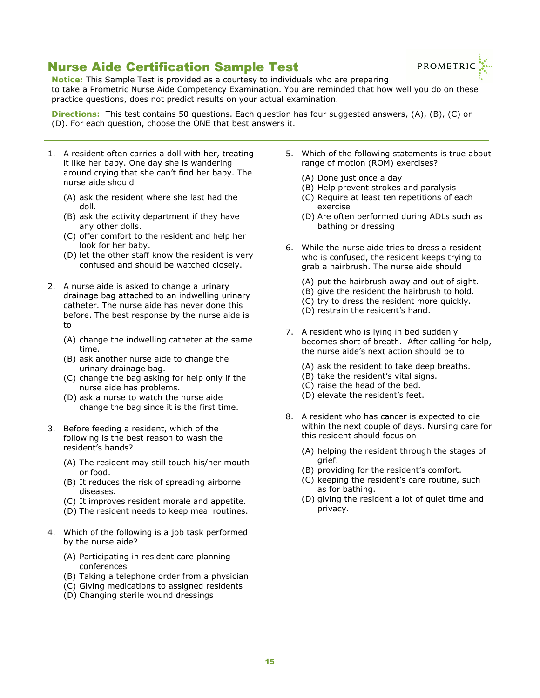# <span id="page-14-0"></span>Nurse Aide Certification Sample Test



**Notice:** This Sample Test is provided as a courtesy to individuals who are preparing to take a Prometric Nurse Aide Competency Examination. You are reminded that how well you do on these practice questions, does not predict results on your actual examination.

**Directions:** This test contains 50 questions. Each question has four suggested answers, (A), (B), (C) or (D). For each question, choose the ONE that best answers it.

- 1. A resident often carries a doll with her, treating it like her baby. One day she is wandering around crying that she can't find her baby. The nurse aide should
	- (A) ask the resident where she last had the doll.
	- (B) ask the activity department if they have any other dolls.
	- (C) offer comfort to the resident and help her look for her baby.
	- (D) let the other staff know the resident is very confused and should be watched closely.
- 2. A nurse aide is asked to change a urinary drainage bag attached to an indwelling urinary catheter. The nurse aide has never done this before. The best response by the nurse aide is to
	- (A) change the indwelling catheter at the same time.
	- (B) ask another nurse aide to change the urinary drainage bag.
	- (C) change the bag asking for help only if the nurse aide has problems.
	- (D) ask a nurse to watch the nurse aide change the bag since it is the first time.
- 3. Before feeding a resident, which of the following is the best reason to wash the resident's hands?
	- (A) The resident may still touch his/her mouth or food.
	- (B) It reduces the risk of spreading airborne diseases.
	- (C) It improves resident morale and appetite.
	- (D) The resident needs to keep meal routines.
- 4. Which of the following is a job task performed by the nurse aide?
	- (A) Participating in resident care planning conferences
	- (B) Taking a telephone order from a physician
	- (C) Giving medications to assigned residents
	- (D) Changing sterile wound dressings
- 5. Which of the following statements is true about range of motion (ROM) exercises?
	- (A) Done just once a day
	- (B) Help prevent strokes and paralysis
	- (C) Require at least ten repetitions of each exercise
	- (D) Are often performed during ADLs such as bathing or dressing
- 6. While the nurse aide tries to dress a resident who is confused, the resident keeps trying to grab a hairbrush. The nurse aide should
	- (A) put the hairbrush away and out of sight.
	- (B) give the resident the hairbrush to hold.
	- (C) try to dress the resident more quickly.
	- (D) restrain the resident's hand.
- 7. A resident who is lying in bed suddenly becomes short of breath. After calling for help, the nurse aide's next action should be to
	- (A) ask the resident to take deep breaths.
	- (B) take the resident's vital signs.
	- (C) raise the head of the bed.
	- (D) elevate the resident's feet.
- 8. A resident who has cancer is expected to die within the next couple of days. Nursing care for this resident should focus on
	- (A) helping the resident through the stages of grief.
	- (B) providing for the resident's comfort.
	- (C) keeping the resident's care routine, such as for bathing.
	- (D) giving the resident a lot of quiet time and privacy.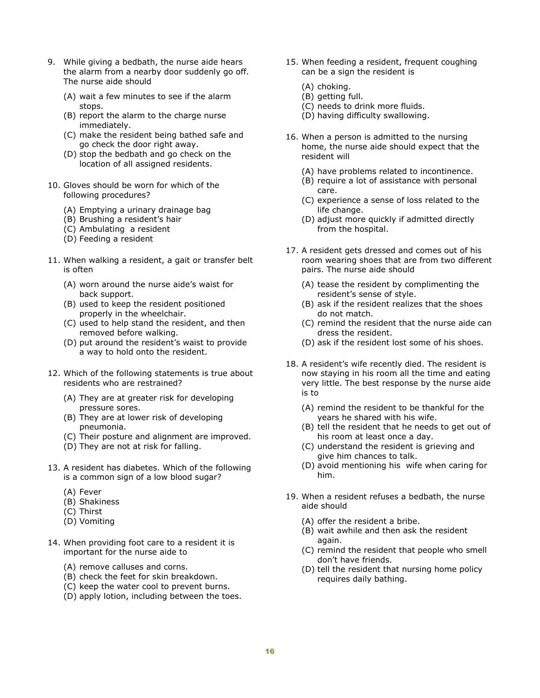- 9. While giving a bedbath, the nurse aide hears the alarm from a nearby door suddenly go off. The nurse aide should
	- (A) wait a few minutes to see if the alarm stops.
	- (B) report the alarm to the charge nurse immediately.
	- (C) make the resident being bathed safe and go check the door right away.
	- (D) stop the bedbath and go check on the location of all assigned residents.
- 10. Gloves should be worn for which of the following procedures?
	- (A) Emptying a urinary drainage bag
	- (B) Brushing a resident's hair
	- (C) Ambulating a resident
	- (D) Feeding a resident
- 11. When walking a resident, a gait or transfer belt is often
	- (A) worn around the nurse aide's waist for back support.
	- (B) used to keep the resident positioned properly in the wheelchair.
	- (C) used to help stand the resident, and then removed before walking.
	- (D) put around the resident's waist to provide a way to hold onto the resident.
- 12. Which of the following statements is true about residents who are restrained?
	- (A) They are at greater risk for developing pressure sores.
	- (B) They are at lower risk of developing pneumonia.
	- (C) Their posture and alignment are improved.
	- (D) They are not at risk for falling.
- 13. A resident has diabetes. Which of the following is a common sign of a low blood sugar?
	- (A) Fever
	- (B) Shakiness
	- (C) Thirst
	- (D) Vomiting
- 14. When providing foot care to a resident it is important for the nurse aide to
	- (A) remove calluses and corns.
	- (B) check the feet for skin breakdown.
	- (C) keep the water cool to prevent burns.
	- (D) apply lotion, including between the toes.
- 15. When feeding a resident, frequent coughing can be a sign the resident is
	- (A) choking.
	- (B) getting full.
	- (C) needs to drink more fluids.
	- (D) having difficulty swallowing.
- 16. When a person is admitted to the nursing home, the nurse aide should expect that the resident will
	- (A) have problems related to incontinence.
	- (B) require a lot of assistance with personal care.
	- (C) experience a sense of loss related to the life change.
	- (D) adjust more quickly if admitted directly from the hospital.
- 17. A resident gets dressed and comes out of his room wearing shoes that are from two different pairs. The nurse aide should
	- (A) tease the resident by complimenting the resident's sense of style.
	- (B) ask if the resident realizes that the shoes do not match.
	- (C) remind the resident that the nurse aide can dress the resident.
	- (D) ask if the resident lost some of his shoes.
- 18. A resident's wife recently died. The resident is now staying in his room all the time and eating very little. The best response by the nurse aide is to
	- (A) remind the resident to be thankful for the years he shared with his wife.
	- (B) tell the resident that he needs to get out of his room at least once a day.
	- (C) understand the resident is grieving and give him chances to talk.
	- (D) avoid mentioning his wife when caring for him.
- 19. When a resident refuses a bedbath, the nurse aide should
	- (A) offer the resident a bribe.
	- (B) wait awhile and then ask the resident again.
	- (C) remind the resident that people who smell don't have friends.
	- (D) tell the resident that nursing home policy requires daily bathing.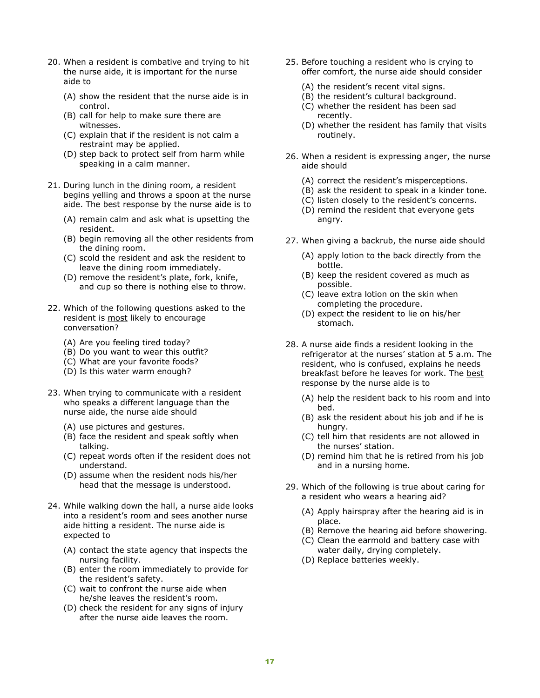- 20. When a resident is combative and trying to hit the nurse aide, it is important for the nurse aide to
	- (A) show the resident that the nurse aide is in control.
	- (B) call for help to make sure there are witnesses.
	- (C) explain that if the resident is not calm a restraint may be applied.
	- (D) step back to protect self from harm while speaking in a calm manner.
- 21. During lunch in the dining room, a resident begins yelling and throws a spoon at the nurse aide. The best response by the nurse aide is to
	- (A) remain calm and ask what is upsetting the resident.
	- (B) begin removing all the other residents from the dining room.
	- (C) scold the resident and ask the resident to leave the dining room immediately.
	- (D) remove the resident's plate, fork, knife, and cup so there is nothing else to throw.
- 22. Which of the following questions asked to the resident is most likely to encourage conversation?
	- (A) Are you feeling tired today?
	- (B) Do you want to wear this outfit?
	- (C) What are your favorite foods?
	- (D) Is this water warm enough?
- 23. When trying to communicate with a resident who speaks a different language than the nurse aide, the nurse aide should
	- (A) use pictures and gestures.
	- (B) face the resident and speak softly when talking.
	- (C) repeat words often if the resident does not understand.
	- (D) assume when the resident nods his/her head that the message is understood.
- 24. While walking down the hall, a nurse aide looks into a resident's room and sees another nurse aide hitting a resident. The nurse aide is expected to
	- (A) contact the state agency that inspects the nursing facility.
	- (B) enter the room immediately to provide for the resident's safety.
	- (C) wait to confront the nurse aide when he/she leaves the resident's room.
	- (D) check the resident for any signs of injury after the nurse aide leaves the room.
- 25. Before touching a resident who is crying to offer comfort, the nurse aide should consider
	- (A) the resident's recent vital signs.
	- (B) the resident's cultural background.
	- (C) whether the resident has been sad recently.
	- (D) whether the resident has family that visits routinely.
- 26. When a resident is expressing anger, the nurse aide should
	- (A) correct the resident's misperceptions.
	- (B) ask the resident to speak in a kinder tone.
	- (C) listen closely to the resident's concerns.
	- (D) remind the resident that everyone gets angry.
- 27. When giving a backrub, the nurse aide should
	- (A) apply lotion to the back directly from the bottle.
	- (B) keep the resident covered as much as possible.
	- (C) leave extra lotion on the skin when completing the procedure.
	- (D) expect the resident to lie on his/her stomach.
- 28. A nurse aide finds a resident looking in the refrigerator at the nurses' station at 5 a.m. The resident, who is confused, explains he needs breakfast before he leaves for work. The best response by the nurse aide is to
	- (A) help the resident back to his room and into bed.
	- (B) ask the resident about his job and if he is hungry.
	- (C) tell him that residents are not allowed in the nurses' station.
	- (D) remind him that he is retired from his job and in a nursing home.
- 29. Which of the following is true about caring for a resident who wears a hearing aid?
	- (A) Apply hairspray after the hearing aid is in place.
	- (B) Remove the hearing aid before showering.
	- (C) Clean the earmold and battery case with water daily, drying completely.
	- (D) Replace batteries weekly.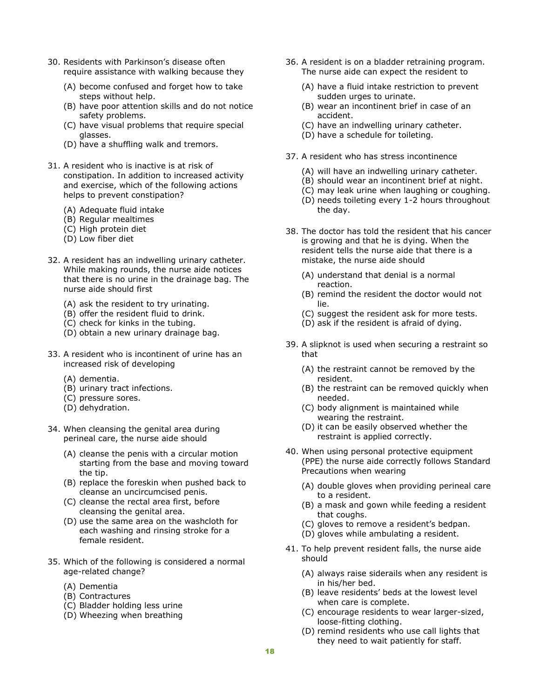- 30. Residents with Parkinson's disease often require assistance with walking because they
	- (A) become confused and forget how to take steps without help.
	- (B) have poor attention skills and do not notice safety problems.
	- (C) have visual problems that require special glasses.
	- (D) have a shuffling walk and tremors.
- 31. A resident who is inactive is at risk of constipation. In addition to increased activity and exercise, which of the following actions helps to prevent constipation?
	- (A) Adequate fluid intake
	- (B) Regular mealtimes
	- (C) High protein diet
	- (D) Low fiber diet
- 32. A resident has an indwelling urinary catheter. While making rounds, the nurse aide notices that there is no urine in the drainage bag. The nurse aide should first
	- (A) ask the resident to try urinating.
	- (B) offer the resident fluid to drink.
	- (C) check for kinks in the tubing.
	- (D) obtain a new urinary drainage bag.
- 33. A resident who is incontinent of urine has an increased risk of developing
	- (A) dementia.
	- (B) urinary tract infections.
	- (C) pressure sores.
	- (D) dehydration.
- 34. When cleansing the genital area during perineal care, the nurse aide should
	- (A) cleanse the penis with a circular motion starting from the base and moving toward the tip.
	- (B) replace the foreskin when pushed back to cleanse an uncircumcised penis.
	- (C) cleanse the rectal area first, before cleansing the genital area.
	- (D) use the same area on the washcloth for each washing and rinsing stroke for a female resident.
- 35. Which of the following is considered a normal age-related change?
	- (A) Dementia
	- (B) Contractures
	- (C) Bladder holding less urine
	- (D) Wheezing when breathing
- 36. A resident is on a bladder retraining program. The nurse aide can expect the resident to
	- (A) have a fluid intake restriction to prevent sudden urges to urinate.
	- (B) wear an incontinent brief in case of an accident.
	- (C) have an indwelling urinary catheter.
	- (D) have a schedule for toileting.
- 37. A resident who has stress incontinence
	- (A) will have an indwelling urinary catheter.
	- (B) should wear an incontinent brief at night.
	- (C) may leak urine when laughing or coughing.
	- (D) needs toileting every 1-2 hours throughout the day.
- 38. The doctor has told the resident that his cancer is growing and that he is dying. When the resident tells the nurse aide that there is a mistake, the nurse aide should
	- (A) understand that denial is a normal reaction.
	- (B) remind the resident the doctor would not lie.
	- (C) suggest the resident ask for more tests.
	- (D) ask if the resident is afraid of dying.
- 39. A slipknot is used when securing a restraint so that
	- (A) the restraint cannot be removed by the resident.
	- (B) the restraint can be removed quickly when needed.
	- (C) body alignment is maintained while wearing the restraint.
	- (D) it can be easily observed whether the restraint is applied correctly.
- 40. When using personal protective equipment (PPE) the nurse aide correctly follows Standard Precautions when wearing
	- (A) double gloves when providing perineal care to a resident.
	- (B) a mask and gown while feeding a resident that coughs.
	- (C) gloves to remove a resident's bedpan.
	- (D) gloves while ambulating a resident.
- 41. To help prevent resident falls, the nurse aide should
	- (A) always raise siderails when any resident is in his/her bed.
	- (B) leave residents' beds at the lowest level when care is complete.
	- (C) encourage residents to wear larger-sized, loose-fitting clothing.
	- (D) remind residents who use call lights that they need to wait patiently for staff.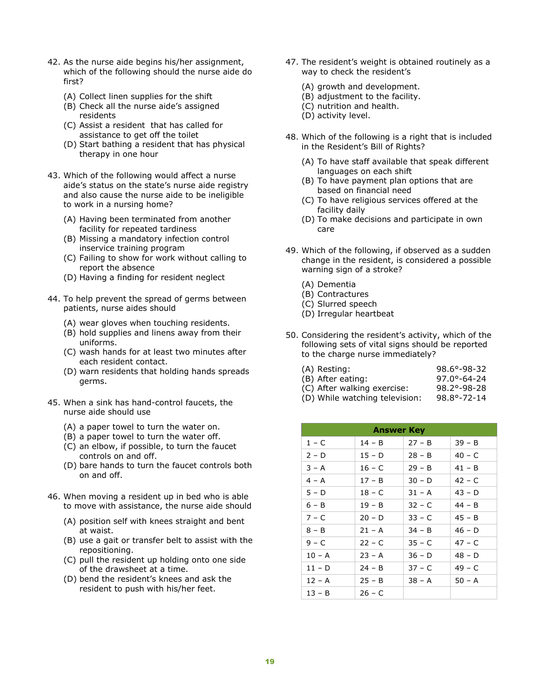- 42. As the nurse aide begins his/her assignment, which of the following should the nurse aide do first?
	- (A) Collect linen supplies for the shift
	- (B) Check all the nurse aide's assigned residents
	- (C) Assist a resident that has called for assistance to get off the toilet
	- (D) Start bathing a resident that has physical therapy in one hour
- 43. Which of the following would affect a nurse aide's status on the state's nurse aide registry and also cause the nurse aide to be ineligible to work in a nursing home?
	- (A) Having been terminated from another facility for repeated tardiness
	- (B) Missing a mandatory infection control inservice training program
	- (C) Failing to show for work without calling to report the absence
	- (D) Having a finding for resident neglect
- 44. To help prevent the spread of germs between patients, nurse aides should
	- (A) wear gloves when touching residents.
	- (B) hold supplies and linens away from their uniforms.
	- (C) wash hands for at least two minutes after each resident contact.
	- (D) warn residents that holding hands spreads germs.
- 45. When a sink has hand-control faucets, the nurse aide should use
	- (A) a paper towel to turn the water on.
	- (B) a paper towel to turn the water off.
	- (C) an elbow, if possible, to turn the faucet controls on and off.
	- (D) bare hands to turn the faucet controls both on and off.
- 46. When moving a resident up in bed who is able to move with assistance, the nurse aide should
	- (A) position self with knees straight and bent at waist.
	- (B) use a gait or transfer belt to assist with the repositioning.
	- (C) pull the resident up holding onto one side of the drawsheet at a time.
	- (D) bend the resident's knees and ask the resident to push with his/her feet.
- 47. The resident's weight is obtained routinely as a way to check the resident's
	- (A) growth and development.
	- (B) adjustment to the facility.
	- (C) nutrition and health.
	- (D) activity level.
- 48. Which of the following is a right that is included in the Resident's Bill of Rights?
	- (A) To have staff available that speak different languages on each shift
	- (B) To have payment plan options that are based on financial need
	- (C) To have religious services offered at the facility daily
	- (D) To make decisions and participate in own care
- 49. Which of the following, if observed as a sudden change in the resident, is considered a possible warning sign of a stroke?
	- (A) Dementia
	- (B) Contractures
	- (C) Slurred speech
	- (D) Irregular heartbeat
- 50. Considering the resident's activity, which of the following sets of vital signs should be reported to the charge nurse immediately?

| (A) Resting:                | $98.6^{\circ} - 98 - 32$ |
|-----------------------------|--------------------------|
| (B) After eating:           | $97.0^{\circ} - 64 - 24$ |
| (C) After walking exercise: | $98.2^{\circ} - 98 - 28$ |

(D) While watching television: 98.8°-72-14

| <b>Answer Key</b> |          |          |          |  |
|-------------------|----------|----------|----------|--|
| 1 – C             | 14 - B   | $27 - B$ | $39 - B$ |  |
| 2 – D             | $15 - D$ | $28 - B$ | $40 - C$ |  |
| $3 - A$           | $16 - C$ | $29 - B$ | $41 - B$ |  |
| $4 - A$           | $17 - B$ | $30 - D$ | $42 - C$ |  |
| 5 – D             | 18 – C   | $31 - A$ | $43 - D$ |  |
| $6 - B$           | $19 - B$ | $32 - C$ | $44 - B$ |  |
| 7 – C             | $20 - D$ | $33 - C$ | $45 - B$ |  |
| 8 – B             | $21 - A$ | $34 - B$ | $46 - D$ |  |
| 9 – C             | 22 – C   | $35 - C$ | $47 - C$ |  |
| $10 - A$          | $23 - A$ | $36 - D$ | $48 - D$ |  |
| 11 - D            | $24 - B$ | $37 - C$ | $49 - C$ |  |
| $12 - A$          | $25 - B$ | $38 - A$ | $50 - A$ |  |
| $13 - B$          | $26 - C$ |          |          |  |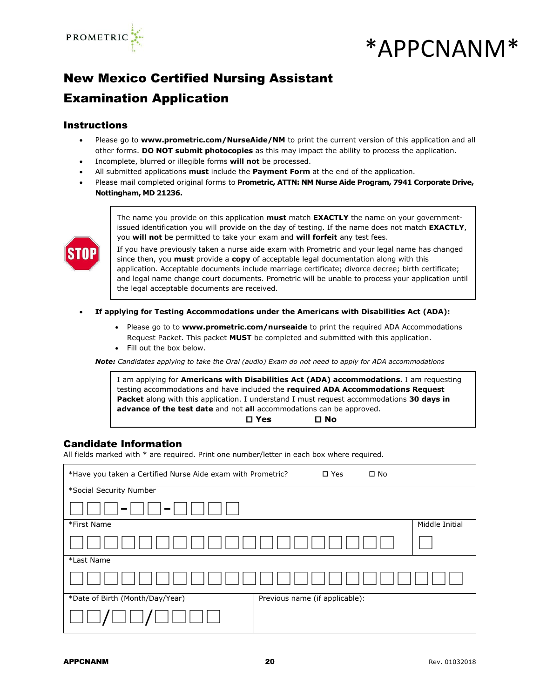

# \*APPCNANM\*

# New Mexico Certified Nursing Assistant

## Examination Application

## **Instructions**

- Please go to **[www.prometric.com/NurseAide/NM](http://www.prometric.com/NurseAide/NM)** to print the current version of this application and all other forms. **DO NOT submit photocopies** as this may impact the ability to process the application.
- Incomplete, blurred or illegible forms **will not** be processed.
- All submitted applications **must** include the **Payment Form** at the end of the application.
- Please mail completed original forms to **Prometric, ATTN: NM Nurse Aide Program, 7941 Corporate Drive, Nottingham, MD 21236.**



The name you provide on this application **must** match **EXACTLY** the name on your governmentissued identification you will provide on the day of testing. If the name does not match **EXACTLY**, you **will not** be permitted to take your exam and **will forfeit** any test fees.

If you have previously taken a nurse aide exam with Prometric and your legal name has changed since then, you **must** provide a **copy** of acceptable legal documentation along with this application. Acceptable documents include marriage certificate; divorce decree; birth certificate; and legal name change court documents. Prometric will be unable to process your application until the legal acceptable documents are received.

- **If applying for Testing Accommodations under the Americans with Disabilities Act (ADA):**
	- Please go to to **[www.prometric.com/nurseaide](http://www.prometric.com/nurseaide)** to print the required ADA Accommodations Request Packet. This packet **MUST** be completed and submitted with this application.
	- Fill out the box below.

*Note: Candidates applying to take the Oral (audio) Exam do not need to apply for ADA accommodations*

I am applying for **Americans with Disabilities Act (ADA) accommodations.** I am requesting testing accommodations and have included the **required ADA Accommodations Request Packet** along with this application. I understand I must request accommodations **30 days in advance of the test date** and not **all** accommodations can be approved.

**Yes No**

## Candidate Information

All fields marked with \* are required. Print one number/letter in each box where required.

| *Have you taken a Certified Nurse Aide exam with Prometric? |                                | $\square$ Yes | $\square$ No |                |
|-------------------------------------------------------------|--------------------------------|---------------|--------------|----------------|
| *Social Security Number                                     |                                |               |              |                |
| $\blacksquare$<br>$\blacksquare$                            |                                |               |              |                |
| *First Name                                                 |                                |               |              | Middle Initial |
|                                                             |                                |               |              |                |
| *Last Name                                                  |                                |               |              |                |
|                                                             |                                |               |              |                |
| *Date of Birth (Month/Day/Year)                             | Previous name (if applicable): |               |              |                |
|                                                             |                                |               |              |                |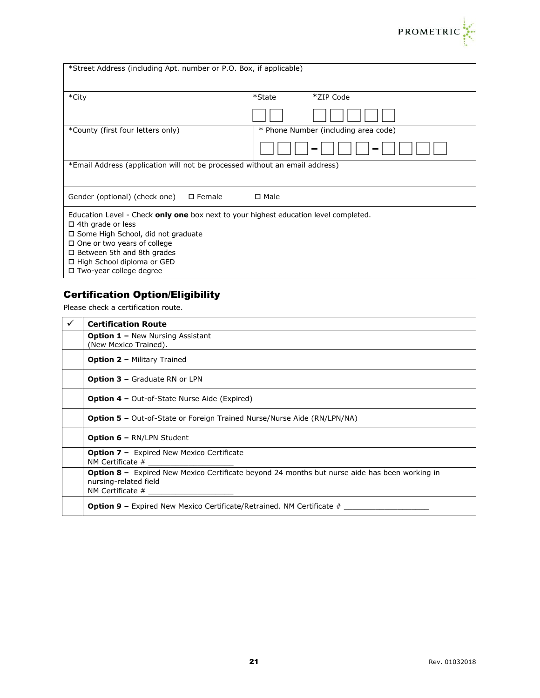

| *Street Address (including Apt. number or P.O. Box, if applicable)                                                                                                                                                                                                                                    |                                      |
|-------------------------------------------------------------------------------------------------------------------------------------------------------------------------------------------------------------------------------------------------------------------------------------------------------|--------------------------------------|
| *City                                                                                                                                                                                                                                                                                                 | *ZIP Code<br>*State                  |
|                                                                                                                                                                                                                                                                                                       |                                      |
| *County (first four letters only)                                                                                                                                                                                                                                                                     | * Phone Number (including area code) |
|                                                                                                                                                                                                                                                                                                       |                                      |
| *Email Address (application will not be processed without an email address)                                                                                                                                                                                                                           |                                      |
| $\square$ Female<br>Gender (optional) (check one)                                                                                                                                                                                                                                                     | □ Male                               |
| Education Level - Check only one box next to your highest education level completed.<br>$\Box$ 4th grade or less<br>□ Some High School, did not graduate<br>$\Box$ One or two years of college<br>$\Box$ Between 5th and 8th grades<br>□ High School diploma or GED<br>$\Box$ Two-year college degree |                                      |

## Certification Option/Eligibility

Please check a certification route.

| ✓ | <b>Certification Route</b>                                                                                                    |
|---|-------------------------------------------------------------------------------------------------------------------------------|
|   | <b>Option 1 - New Nursing Assistant</b><br>(New Mexico Trained).                                                              |
|   | <b>Option 2 - Military Trained</b>                                                                                            |
|   | <b>Option 3 - Graduate RN or LPN</b>                                                                                          |
|   | <b>Option 4 –</b> Out-of-State Nurse Aide (Expired)                                                                           |
|   | <b>Option 5 -</b> Out-of-State or Foreign Trained Nurse/Nurse Aide (RN/LPN/NA)                                                |
|   | <b>Option 6 - RN/LPN Student</b>                                                                                              |
|   | <b>Option 7 -</b> Expired New Mexico Certificate                                                                              |
|   | <b>Option 8 -</b> Expired New Mexico Certificate beyond 24 months but nurse aide has been working in<br>nursing-related field |
|   | <b>Option 9 –</b> Expired New Mexico Certificate/Retrained. NM Certificate $#$                                                |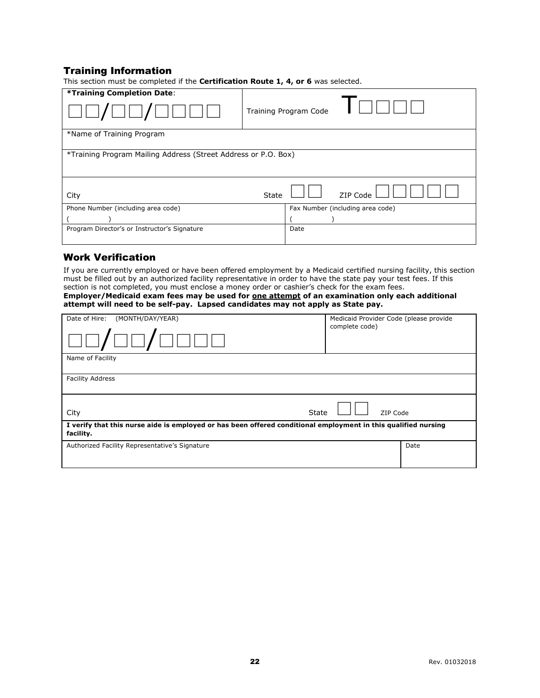## Training Information

| *Training Completion Date:                   |                                                                |                                  |  |  |
|----------------------------------------------|----------------------------------------------------------------|----------------------------------|--|--|
|                                              |                                                                | Training Program Code            |  |  |
| *Name of Training Program                    |                                                                |                                  |  |  |
|                                              |                                                                |                                  |  |  |
|                                              | *Training Program Mailing Address (Street Address or P.O. Box) |                                  |  |  |
|                                              |                                                                |                                  |  |  |
|                                              |                                                                |                                  |  |  |
|                                              | State                                                          | ZIP Code                         |  |  |
| City                                         |                                                                |                                  |  |  |
| Phone Number (including area code)           |                                                                | Fax Number (including area code) |  |  |
|                                              |                                                                |                                  |  |  |
| Program Director's or Instructor's Signature |                                                                | Date                             |  |  |
|                                              |                                                                |                                  |  |  |

## This section must be completed if the **Certification Route 1, 4, or 6** was selected.

## Work Verification

If you are currently employed or have been offered employment by a Medicaid certified nursing facility, this section must be filled out by an authorized facility representative in order to have the state pay your test fees. If this section is not completed, you must enclose a money order or cashier's check for the exam fees. **Employer/Medicaid exam fees may be used for one attempt of an examination only each additional attempt will need to be self-pay. Lapsed candidates may not apply as State pay.**

| Date of Hire: (MONTH/DAY/YEAR)                                                                                              | Medicaid Provider Code (please provide<br>complete code) |      |  |  |
|-----------------------------------------------------------------------------------------------------------------------------|----------------------------------------------------------|------|--|--|
| $J\square\square J\square\square$                                                                                           |                                                          |      |  |  |
| Name of Facility                                                                                                            |                                                          |      |  |  |
| <b>Facility Address</b>                                                                                                     |                                                          |      |  |  |
| State<br>City                                                                                                               | ZIP Code                                                 |      |  |  |
| I verify that this nurse aide is employed or has been offered conditional employment in this qualified nursing<br>facility. |                                                          |      |  |  |
| Authorized Facility Representative's Signature                                                                              |                                                          | Date |  |  |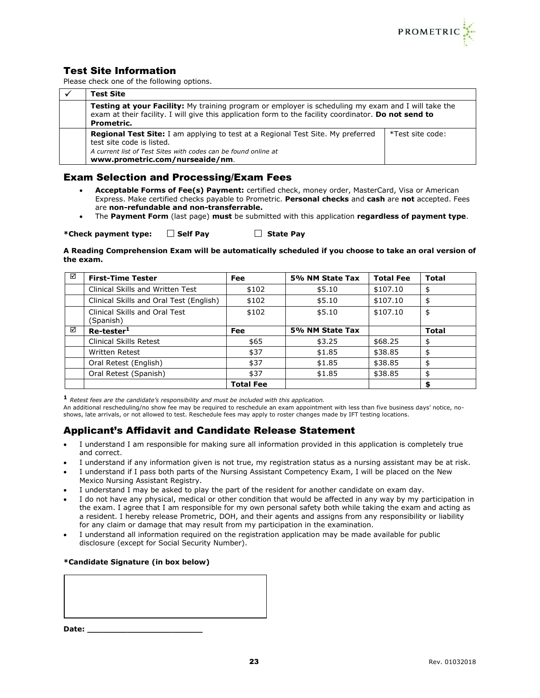

## Test Site Information

Please check one of the following options.

| <b>Test Site</b>                                                                                                                                                                                                           |                  |  |  |  |
|----------------------------------------------------------------------------------------------------------------------------------------------------------------------------------------------------------------------------|------------------|--|--|--|
| Testing at your Facility: My training program or employer is scheduling my exam and I will take the<br>exam at their facility. I will give this application form to the facility coordinator. Do not send to<br>Prometric. |                  |  |  |  |
| <b>Regional Test Site:</b> I am applying to test at a Regional Test Site. My preferred<br>test site code is listed.<br>A current list of Test Sites with codes can be found online at<br>www.prometric.com/nurseaide/nm.   | *Test site code: |  |  |  |

## Exam Selection and Processing/Exam Fees

- **Acceptable Forms of Fee(s) Payment:** certified check, money order, MasterCard, Visa or American Express. Make certified checks payable to Prometric. **Personal checks** and **cash** are **not** accepted. Fees are **non-refundable and non-transferrable.**
- The **Payment Form** (last page) **must** be submitted with this application **regardless of payment type**.

\*Check payment type:  $\Box$  Self Pay  $\Box$  State Pay

**A Reading Comprehension Exam will be automatically scheduled if you choose to take an oral version of the exam.**

| ☑ | <b>First-Time Tester</b>                   | <b>Fee</b>       | 5% NM State Tax | <b>Total Fee</b> | <b>Total</b> |
|---|--------------------------------------------|------------------|-----------------|------------------|--------------|
|   | Clinical Skills and Written Test           | \$102            | \$5.10          | \$107.10         | \$           |
|   | Clinical Skills and Oral Test (English)    | \$102            | \$5.10          | \$107.10         | \$           |
|   | Clinical Skills and Oral Test<br>(Spanish) | \$102            | \$5.10          | \$107.10         | \$           |
| ☑ | Re-tester <sup>1</sup>                     | <b>Fee</b>       | 5% NM State Tax |                  | <b>Total</b> |
|   | <b>Clinical Skills Retest</b>              | \$65             | \$3.25          | \$68.25          | \$           |
|   | <b>Written Retest</b>                      | \$37             | \$1.85          | \$38.85          | \$           |
|   | Oral Retest (English)                      | \$37             | \$1.85          | \$38.85          | \$           |
|   | Oral Retest (Spanish)                      | \$37             | \$1.85          | \$38.85          | \$           |
|   |                                            | <b>Total Fee</b> |                 |                  | \$           |

**<sup>1</sup>** *Retest fees are the candidate's responsibility and must be included with this application.*

An additional rescheduling/no show fee may be required to reschedule an exam appointment with less than five business days' notice, noshows, late arrivals, or not allowed to test. Reschedule fees may apply to roster changes made by IFT testing locations.

## Applicant's Affidavit and Candidate Release Statement

- I understand I am responsible for making sure all information provided in this application is completely true and correct.
- I understand if any information given is not true, my registration status as a nursing assistant may be at risk.
- I understand if I pass both parts of the Nursing Assistant Competency Exam, I will be placed on the New Mexico Nursing Assistant Registry.
- I understand I may be asked to play the part of the resident for another candidate on exam day.
- I do not have any physical, medical or other condition that would be affected in any way by my participation in the exam. I agree that I am responsible for my own personal safety both while taking the exam and acting as a resident. I hereby release Prometric, DOH, and their agents and assigns from any responsibility or liability for any claim or damage that may result from my participation in the examination.
- I understand all information required on the registration application may be made available for public disclosure (except for Social Security Number).

## **\*Candidate Signature (in box below)**

**Date: \_\_\_\_\_\_\_\_\_\_\_\_\_\_\_\_\_\_\_\_\_\_\_**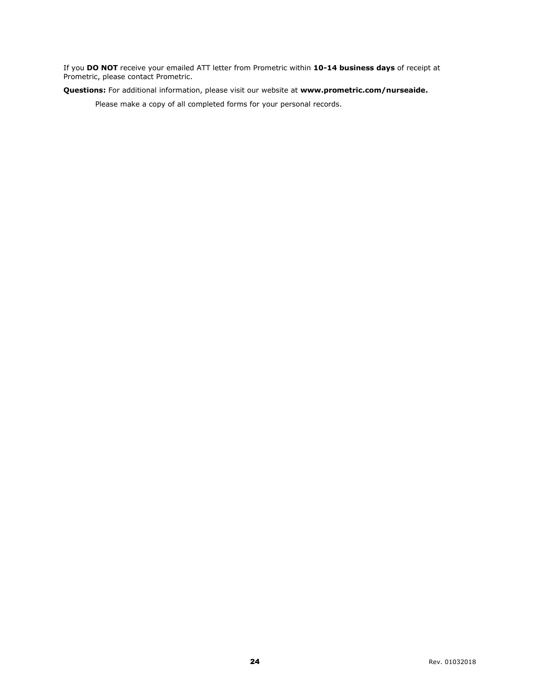If you **DO NOT** receive your emailed ATT letter from Prometric within **10-14 business days** of receipt at Prometric, please contact Prometric.

**Questions:** For additional information, please visit our website at **[www.prometric.com/nurseaide.](http://www.prometric.com/nurseaide)**

Please make a copy of all completed forms for your personal records.